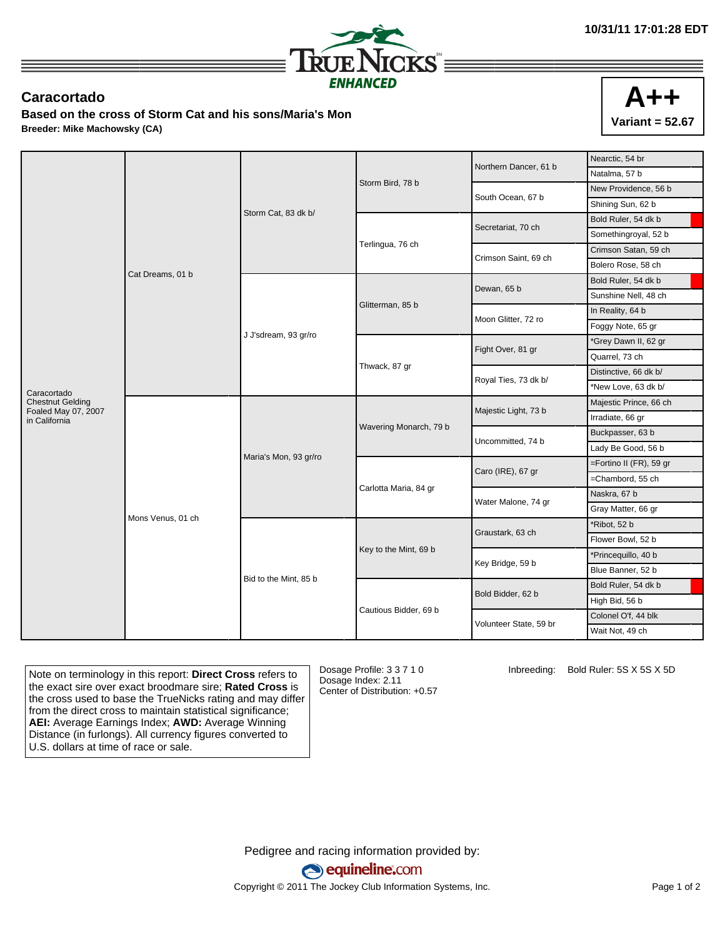

## **Caracortado**

**Based on the cross of Storm Cat and his sons/Maria's Mon Breeder: Mike Machowsky (CA)**

|                        |                        | Nearctic, 54 br                            |
|------------------------|------------------------|--------------------------------------------|
|                        |                        | Natalma, 57 b                              |
|                        | South Ocean, 67 b      | New Providence, 56 b                       |
|                        |                        | Shining Sun, 62 b                          |
| Terlingua, 76 ch       | Secretariat, 70 ch     | Bold Ruler, 54 dk b                        |
|                        |                        | Somethingroyal, 52 b                       |
|                        | Crimson Saint, 69 ch   | Crimson Satan, 59 ch                       |
|                        |                        | Bolero Rose, 58 ch                         |
| Glitterman, 85 b       | Dewan, 65 b            | Bold Ruler, 54 dk b                        |
|                        |                        | Sunshine Nell, 48 ch                       |
|                        | Moon Glitter, 72 ro    | In Reality, 64 b                           |
|                        |                        | Foggy Note, 65 gr                          |
|                        | Fight Over, 81 gr      | *Grey Dawn II, 62 gr                       |
|                        |                        | Quarrel, 73 ch                             |
| Thwack, 87 gr          | Royal Ties, 73 dk b/   | Distinctive, 66 dk b/                      |
|                        |                        | *New Love, 63 dk b/                        |
| Wavering Monarch, 79 b | Majestic Light, 73 b   | Majestic Prince, 66 ch                     |
|                        |                        | Irradiate, 66 gr                           |
|                        | Uncommitted, 74 b      | Buckpasser, 63 b                           |
|                        |                        | Lady Be Good, 56 b                         |
| Carlotta Maria, 84 gr  | Caro (IRE), 67 gr      | =Fortino II (FR), 59 gr                    |
|                        |                        | =Chambord, 55 ch                           |
|                        | Water Malone, 74 gr    | Naskra, 67 b                               |
|                        |                        | Gray Matter, 66 gr                         |
| Key to the Mint, 69 b  | Graustark, 63 ch       | *Ribot, 52 b                               |
|                        |                        | Flower Bowl, 52 b                          |
|                        | Key Bridge, 59 b       | *Princequillo, 40 b                        |
|                        |                        | Blue Banner, 52 b                          |
| Cautious Bidder, 69 b  |                        | Bold Ruler, 54 dk b                        |
|                        |                        | High Bid, 56 b                             |
|                        | Volunteer State, 59 br | Colonel O'f, 44 blk                        |
|                        |                        | Wait Not, 49 ch                            |
|                        | Storm Bird, 78 b       | Northern Dancer, 61 b<br>Bold Bidder, 62 b |

Note on terminology in this report: **Direct Cross** refers to the exact sire over exact broodmare sire; **Rated Cross** is the cross used to base the TrueNicks rating and may differ from the direct cross to maintain statistical significance; **AEI:** Average Earnings Index; **AWD:** Average Winning Distance (in furlongs). All currency figures converted to U.S. dollars at time of race or sale.

Dosage Profile: 3 3 7 1 0 Dosage Index: 2.11 Center of Distribution: +0.57 Inbreeding: Bold Ruler: 5S X 5S X 5D

Pedigree and racing information provided by: equineline.com Copyright © 2011 The Jockey Club Information Systems, Inc. Page 1 of 2